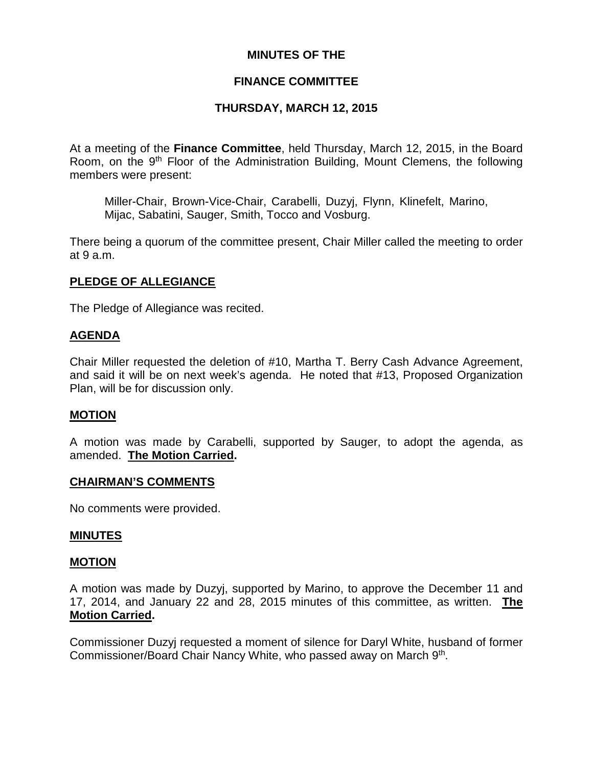## **MINUTES OF THE**

## **FINANCE COMMITTEE**

## **THURSDAY, MARCH 12, 2015**

At a meeting of the **Finance Committee**, held Thursday, March 12, 2015, in the Board Room, on the 9<sup>th</sup> Floor of the Administration Building, Mount Clemens, the following members were present:

Miller-Chair, Brown-Vice-Chair, Carabelli, Duzyj, Flynn, Klinefelt, Marino, Mijac, Sabatini, Sauger, Smith, Tocco and Vosburg.

There being a quorum of the committee present, Chair Miller called the meeting to order at 9 a.m.

## **PLEDGE OF ALLEGIANCE**

The Pledge of Allegiance was recited.

### **AGENDA**

Chair Miller requested the deletion of #10, Martha T. Berry Cash Advance Agreement, and said it will be on next week's agenda. He noted that #13, Proposed Organization Plan, will be for discussion only.

### **MOTION**

A motion was made by Carabelli, supported by Sauger, to adopt the agenda, as amended. **The Motion Carried.**

### **CHAIRMAN'S COMMENTS**

No comments were provided.

### **MINUTES**

### **MOTION**

A motion was made by Duzyj, supported by Marino, to approve the December 11 and 17, 2014, and January 22 and 28, 2015 minutes of this committee, as written. **The Motion Carried.**

Commissioner Duzyj requested a moment of silence for Daryl White, husband of former Commissioner/Board Chair Nancy White, who passed away on March 9th.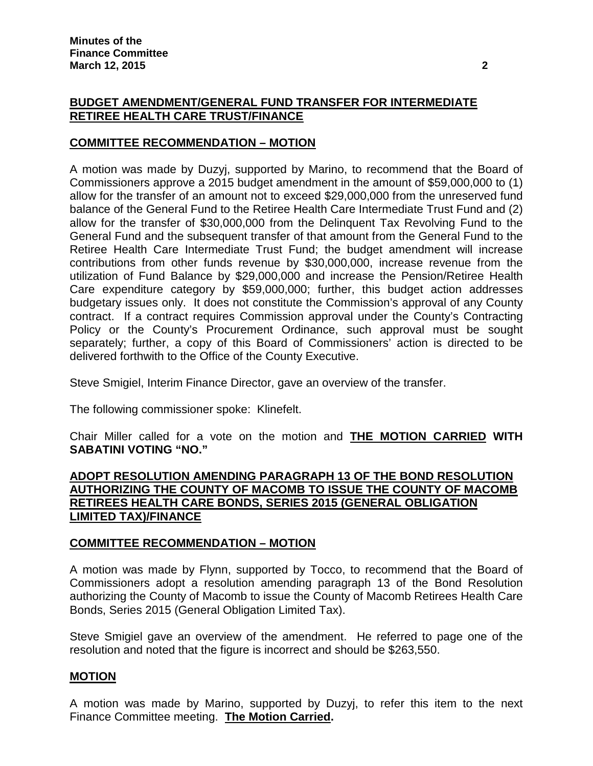## **BUDGET AMENDMENT/GENERAL FUND TRANSFER FOR INTERMEDIATE RETIREE HEALTH CARE TRUST/FINANCE**

# **COMMITTEE RECOMMENDATION – MOTION**

A motion was made by Duzyj, supported by Marino, to recommend that the Board of Commissioners approve a 2015 budget amendment in the amount of \$59,000,000 to (1) allow for the transfer of an amount not to exceed \$29,000,000 from the unreserved fund balance of the General Fund to the Retiree Health Care Intermediate Trust Fund and (2) allow for the transfer of \$30,000,000 from the Delinquent Tax Revolving Fund to the General Fund and the subsequent transfer of that amount from the General Fund to the Retiree Health Care Intermediate Trust Fund; the budget amendment will increase contributions from other funds revenue by \$30,000,000, increase revenue from the utilization of Fund Balance by \$29,000,000 and increase the Pension/Retiree Health Care expenditure category by \$59,000,000; further, this budget action addresses budgetary issues only. It does not constitute the Commission's approval of any County contract. If a contract requires Commission approval under the County's Contracting Policy or the County's Procurement Ordinance, such approval must be sought separately; further, a copy of this Board of Commissioners' action is directed to be delivered forthwith to the Office of the County Executive.

Steve Smigiel, Interim Finance Director, gave an overview of the transfer.

The following commissioner spoke: Klinefelt.

Chair Miller called for a vote on the motion and **THE MOTION CARRIED WITH SABATINI VOTING "NO."**

## **ADOPT RESOLUTION AMENDING PARAGRAPH 13 OF THE BOND RESOLUTION AUTHORIZING THE COUNTY OF MACOMB TO ISSUE THE COUNTY OF MACOMB RETIREES HEALTH CARE BONDS, SERIES 2015 (GENERAL OBLIGATION LIMITED TAX)/FINANCE**

## **COMMITTEE RECOMMENDATION – MOTION**

A motion was made by Flynn, supported by Tocco, to recommend that the Board of Commissioners adopt a resolution amending paragraph 13 of the Bond Resolution authorizing the County of Macomb to issue the County of Macomb Retirees Health Care Bonds, Series 2015 (General Obligation Limited Tax).

Steve Smigiel gave an overview of the amendment. He referred to page one of the resolution and noted that the figure is incorrect and should be \$263,550.

### **MOTION**

A motion was made by Marino, supported by Duzyj, to refer this item to the next Finance Committee meeting. **The Motion Carried.**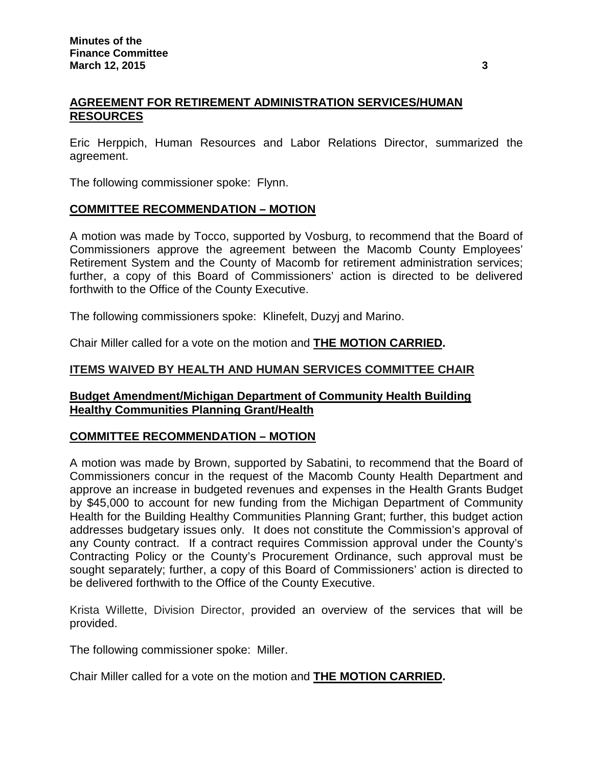## **AGREEMENT FOR RETIREMENT ADMINISTRATION SERVICES/HUMAN RESOURCES**

Eric Herppich, Human Resources and Labor Relations Director, summarized the agreement.

The following commissioner spoke: Flynn.

### **COMMITTEE RECOMMENDATION – MOTION**

A motion was made by Tocco, supported by Vosburg, to recommend that the Board of Commissioners approve the agreement between the Macomb County Employees' Retirement System and the County of Macomb for retirement administration services; further, a copy of this Board of Commissioners' action is directed to be delivered forthwith to the Office of the County Executive.

The following commissioners spoke: Klinefelt, Duzyj and Marino.

Chair Miller called for a vote on the motion and **THE MOTION CARRIED.**

### **ITEMS WAIVED BY HEALTH AND HUMAN SERVICES COMMITTEE CHAIR**

### **Budget Amendment/Michigan Department of Community Health Building Healthy Communities Planning Grant/Health**

## **COMMITTEE RECOMMENDATION – MOTION**

A motion was made by Brown, supported by Sabatini, to recommend that the Board of Commissioners concur in the request of the Macomb County Health Department and approve an increase in budgeted revenues and expenses in the Health Grants Budget by \$45,000 to account for new funding from the Michigan Department of Community Health for the Building Healthy Communities Planning Grant; further, this budget action addresses budgetary issues only. It does not constitute the Commission's approval of any County contract. If a contract requires Commission approval under the County's Contracting Policy or the County's Procurement Ordinance, such approval must be sought separately; further, a copy of this Board of Commissioners' action is directed to be delivered forthwith to the Office of the County Executive.

Krista Willette, Division Director, provided an overview of the services that will be provided.

The following commissioner spoke: Miller.

Chair Miller called for a vote on the motion and **THE MOTION CARRIED.**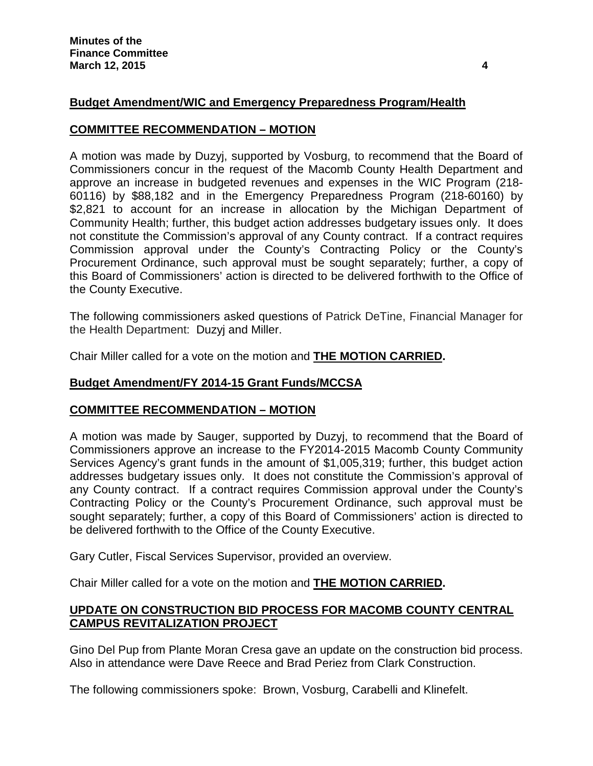# **Budget Amendment/WIC and Emergency Preparedness Program/Health**

## **COMMITTEE RECOMMENDATION – MOTION**

A motion was made by Duzyj, supported by Vosburg, to recommend that the Board of Commissioners concur in the request of the Macomb County Health Department and approve an increase in budgeted revenues and expenses in the WIC Program (218- 60116) by \$88,182 and in the Emergency Preparedness Program (218-60160) by \$2,821 to account for an increase in allocation by the Michigan Department of Community Health; further, this budget action addresses budgetary issues only. It does not constitute the Commission's approval of any County contract. If a contract requires Commission approval under the County's Contracting Policy or the County's Procurement Ordinance, such approval must be sought separately; further, a copy of this Board of Commissioners' action is directed to be delivered forthwith to the Office of the County Executive.

The following commissioners asked questions of Patrick DeTine, Financial Manager for the Health Department: Duzyj and Miller.

Chair Miller called for a vote on the motion and **THE MOTION CARRIED.**

## **Budget Amendment/FY 2014-15 Grant Funds/MCCSA**

## **COMMITTEE RECOMMENDATION – MOTION**

A motion was made by Sauger, supported by Duzyj, to recommend that the Board of Commissioners approve an increase to the FY2014-2015 Macomb County Community Services Agency's grant funds in the amount of \$1,005,319; further, this budget action addresses budgetary issues only. It does not constitute the Commission's approval of any County contract. If a contract requires Commission approval under the County's Contracting Policy or the County's Procurement Ordinance, such approval must be sought separately; further, a copy of this Board of Commissioners' action is directed to be delivered forthwith to the Office of the County Executive.

Gary Cutler, Fiscal Services Supervisor, provided an overview.

Chair Miller called for a vote on the motion and **THE MOTION CARRIED.**

## **UPDATE ON CONSTRUCTION BID PROCESS FOR MACOMB COUNTY CENTRAL CAMPUS REVITALIZATION PROJECT**

Gino Del Pup from Plante Moran Cresa gave an update on the construction bid process. Also in attendance were Dave Reece and Brad Periez from Clark Construction.

The following commissioners spoke: Brown, Vosburg, Carabelli and Klinefelt.